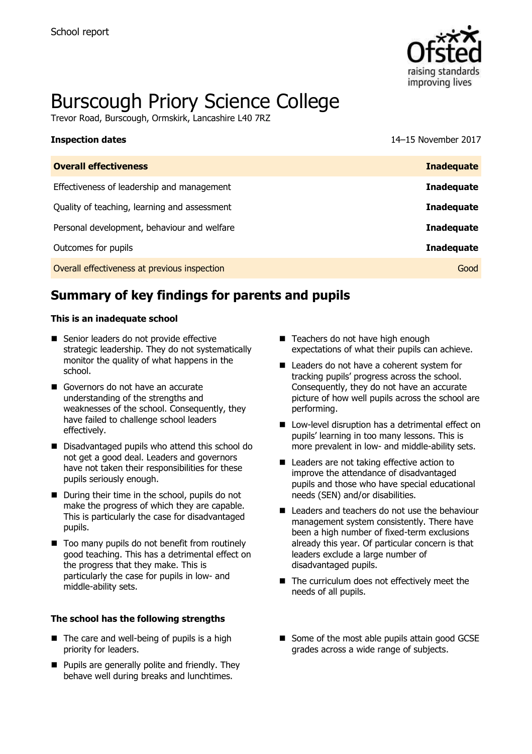

# Burscough Priory Science College

Trevor Road, Burscough, Ormskirk, Lancashire L40 7RZ

# **Inspection dates** 14–15 November 2017 **Overall effectiveness Inadequate** Effectiveness of leadership and management **Inadequate** Quality of teaching, learning and assessment **Inadequate** Personal development, behaviour and welfare **Inadequate Inadequate** Outcomes for pupils **Inadequate** Overall effectiveness at previous inspection Good

# **Summary of key findings for parents and pupils**

### **This is an inadequate school**

- Senior leaders do not provide effective strategic leadership. They do not systematically monitor the quality of what happens in the school.
- Governors do not have an accurate understanding of the strengths and weaknesses of the school. Consequently, they have failed to challenge school leaders effectively.
- Disadvantaged pupils who attend this school do not get a good deal. Leaders and governors have not taken their responsibilities for these pupils seriously enough.
- During their time in the school, pupils do not make the progress of which they are capable. This is particularly the case for disadvantaged pupils.
- Too many pupils do not benefit from routinely good teaching. This has a detrimental effect on the progress that they make. This is particularly the case for pupils in low- and middle-ability sets.

### **The school has the following strengths**

- $\blacksquare$  The care and well-being of pupils is a high priority for leaders.
- **Pupils are generally polite and friendly. They** behave well during breaks and lunchtimes.
- Teachers do not have high enough expectations of what their pupils can achieve.
- Leaders do not have a coherent system for tracking pupils' progress across the school. Consequently, they do not have an accurate picture of how well pupils across the school are performing.
- Low-level disruption has a detrimental effect on pupils' learning in too many lessons. This is more prevalent in low- and middle-ability sets.
- Leaders are not taking effective action to improve the attendance of disadvantaged pupils and those who have special educational needs (SEN) and/or disabilities.
- Leaders and teachers do not use the behaviour management system consistently. There have been a high number of fixed-term exclusions already this year. Of particular concern is that leaders exclude a large number of disadvantaged pupils.
- The curriculum does not effectively meet the needs of all pupils.
- Some of the most able pupils attain good GCSE grades across a wide range of subjects.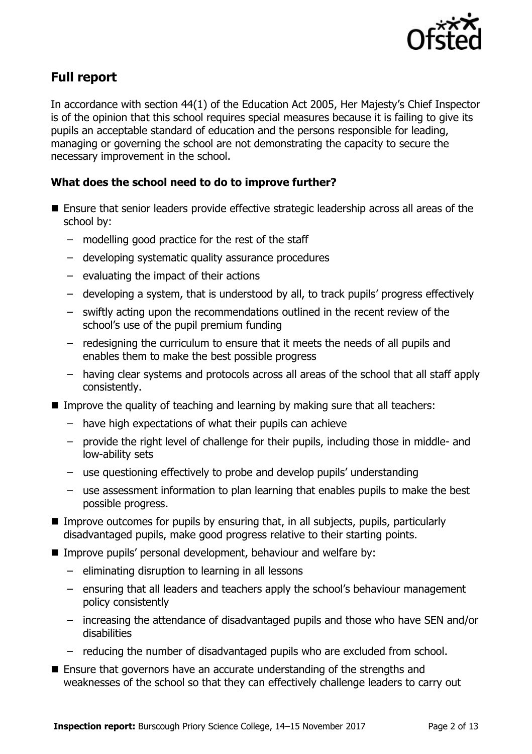

# **Full report**

In accordance with section 44(1) of the Education Act 2005, Her Majesty's Chief Inspector is of the opinion that this school requires special measures because it is failing to give its pupils an acceptable standard of education and the persons responsible for leading, managing or governing the school are not demonstrating the capacity to secure the necessary improvement in the school.

### **What does the school need to do to improve further?**

- Ensure that senior leaders provide effective strategic leadership across all areas of the school by:
	- modelling good practice for the rest of the staff
	- developing systematic quality assurance procedures
	- evaluating the impact of their actions
	- developing a system, that is understood by all, to track pupils' progress effectively
	- swiftly acting upon the recommendations outlined in the recent review of the school's use of the pupil premium funding
	- redesigning the curriculum to ensure that it meets the needs of all pupils and enables them to make the best possible progress
	- having clear systems and protocols across all areas of the school that all staff apply consistently.
- Improve the quality of teaching and learning by making sure that all teachers:
	- have high expectations of what their pupils can achieve
	- provide the right level of challenge for their pupils, including those in middle- and low-ability sets
	- use questioning effectively to probe and develop pupils' understanding
	- use assessment information to plan learning that enables pupils to make the best possible progress.
- Improve outcomes for pupils by ensuring that, in all subjects, pupils, particularly disadvantaged pupils, make good progress relative to their starting points.
- Improve pupils' personal development, behaviour and welfare by:
	- eliminating disruption to learning in all lessons
	- ensuring that all leaders and teachers apply the school's behaviour management policy consistently
	- increasing the attendance of disadvantaged pupils and those who have SEN and/or disabilities
	- reducing the number of disadvantaged pupils who are excluded from school.
- Ensure that governors have an accurate understanding of the strengths and weaknesses of the school so that they can effectively challenge leaders to carry out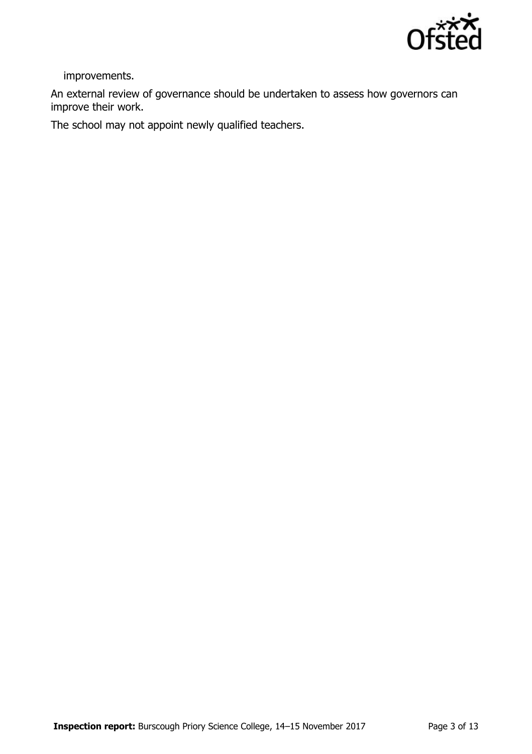

improvements.

An external review of governance should be undertaken to assess how governors can improve their work.

The school may not appoint newly qualified teachers.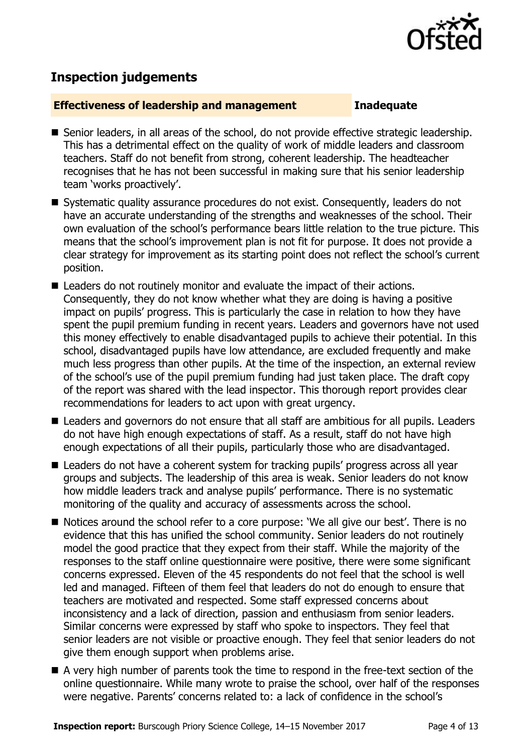

## **Inspection judgements**

### **Effectiveness of leadership and management Inadequate**

- Senior leaders, in all areas of the school, do not provide effective strategic leadership. This has a detrimental effect on the quality of work of middle leaders and classroom teachers. Staff do not benefit from strong, coherent leadership. The headteacher recognises that he has not been successful in making sure that his senior leadership team 'works proactively'.
- Systematic quality assurance procedures do not exist. Consequently, leaders do not have an accurate understanding of the strengths and weaknesses of the school. Their own evaluation of the school's performance bears little relation to the true picture. This means that the school's improvement plan is not fit for purpose. It does not provide a clear strategy for improvement as its starting point does not reflect the school's current position.
- Leaders do not routinely monitor and evaluate the impact of their actions. Consequently, they do not know whether what they are doing is having a positive impact on pupils' progress. This is particularly the case in relation to how they have spent the pupil premium funding in recent years. Leaders and governors have not used this money effectively to enable disadvantaged pupils to achieve their potential. In this school, disadvantaged pupils have low attendance, are excluded frequently and make much less progress than other pupils. At the time of the inspection, an external review of the school's use of the pupil premium funding had just taken place. The draft copy of the report was shared with the lead inspector. This thorough report provides clear recommendations for leaders to act upon with great urgency.
- Leaders and governors do not ensure that all staff are ambitious for all pupils. Leaders do not have high enough expectations of staff. As a result, staff do not have high enough expectations of all their pupils, particularly those who are disadvantaged.
- Leaders do not have a coherent system for tracking pupils' progress across all year groups and subjects. The leadership of this area is weak. Senior leaders do not know how middle leaders track and analyse pupils' performance. There is no systematic monitoring of the quality and accuracy of assessments across the school.
- Notices around the school refer to a core purpose: 'We all give our best'. There is no evidence that this has unified the school community. Senior leaders do not routinely model the good practice that they expect from their staff. While the majority of the responses to the staff online questionnaire were positive, there were some significant concerns expressed. Eleven of the 45 respondents do not feel that the school is well led and managed. Fifteen of them feel that leaders do not do enough to ensure that teachers are motivated and respected. Some staff expressed concerns about inconsistency and a lack of direction, passion and enthusiasm from senior leaders. Similar concerns were expressed by staff who spoke to inspectors. They feel that senior leaders are not visible or proactive enough. They feel that senior leaders do not give them enough support when problems arise.
- A very high number of parents took the time to respond in the free-text section of the online questionnaire. While many wrote to praise the school, over half of the responses were negative. Parents' concerns related to: a lack of confidence in the school's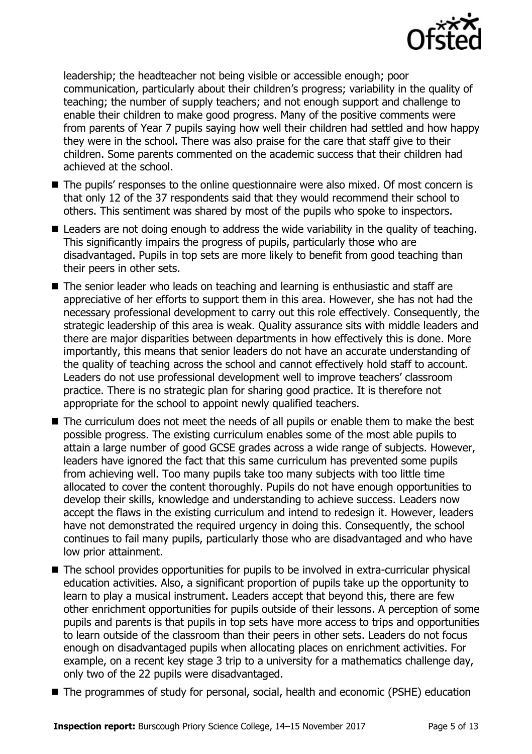

leadership; the headteacher not being visible or accessible enough; poor communication, particularly about their children's progress; variability in the quality of teaching; the number of supply teachers; and not enough support and challenge to enable their children to make good progress. Many of the positive comments were from parents of Year 7 pupils saying how well their children had settled and how happy they were in the school. There was also praise for the care that staff give to their children. Some parents commented on the academic success that their children had achieved at the school.

- The pupils' responses to the online questionnaire were also mixed. Of most concern is that only 12 of the 37 respondents said that they would recommend their school to others. This sentiment was shared by most of the pupils who spoke to inspectors.
- Leaders are not doing enough to address the wide variability in the quality of teaching. This significantly impairs the progress of pupils, particularly those who are disadvantaged. Pupils in top sets are more likely to benefit from good teaching than their peers in other sets.
- The senior leader who leads on teaching and learning is enthusiastic and staff are appreciative of her efforts to support them in this area. However, she has not had the necessary professional development to carry out this role effectively. Consequently, the strategic leadership of this area is weak. Quality assurance sits with middle leaders and there are major disparities between departments in how effectively this is done. More importantly, this means that senior leaders do not have an accurate understanding of the quality of teaching across the school and cannot effectively hold staff to account. Leaders do not use professional development well to improve teachers' classroom practice. There is no strategic plan for sharing good practice. It is therefore not appropriate for the school to appoint newly qualified teachers.
- The curriculum does not meet the needs of all pupils or enable them to make the best possible progress. The existing curriculum enables some of the most able pupils to attain a large number of good GCSE grades across a wide range of subjects. However, leaders have ignored the fact that this same curriculum has prevented some pupils from achieving well. Too many pupils take too many subjects with too little time allocated to cover the content thoroughly. Pupils do not have enough opportunities to develop their skills, knowledge and understanding to achieve success. Leaders now accept the flaws in the existing curriculum and intend to redesign it. However, leaders have not demonstrated the required urgency in doing this. Consequently, the school continues to fail many pupils, particularly those who are disadvantaged and who have low prior attainment.
- The school provides opportunities for pupils to be involved in extra-curricular physical education activities. Also, a significant proportion of pupils take up the opportunity to learn to play a musical instrument. Leaders accept that beyond this, there are few other enrichment opportunities for pupils outside of their lessons. A perception of some pupils and parents is that pupils in top sets have more access to trips and opportunities to learn outside of the classroom than their peers in other sets. Leaders do not focus enough on disadvantaged pupils when allocating places on enrichment activities. For example, on a recent key stage 3 trip to a university for a mathematics challenge day, only two of the 22 pupils were disadvantaged.
- The programmes of study for personal, social, health and economic (PSHE) education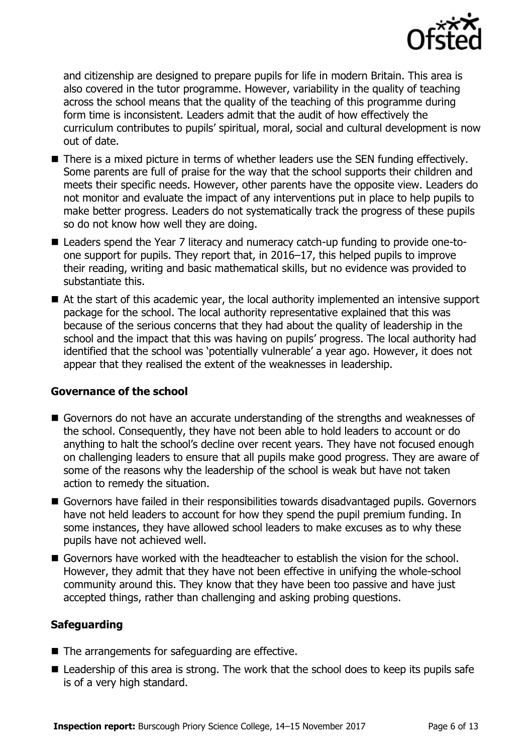

and citizenship are designed to prepare pupils for life in modern Britain. This area is also covered in the tutor programme. However, variability in the quality of teaching across the school means that the quality of the teaching of this programme during form time is inconsistent. Leaders admit that the audit of how effectively the curriculum contributes to pupils' spiritual, moral, social and cultural development is now out of date.

- There is a mixed picture in terms of whether leaders use the SEN funding effectively. Some parents are full of praise for the way that the school supports their children and meets their specific needs. However, other parents have the opposite view. Leaders do not monitor and evaluate the impact of any interventions put in place to help pupils to make better progress. Leaders do not systematically track the progress of these pupils so do not know how well they are doing.
- Leaders spend the Year 7 literacy and numeracy catch-up funding to provide one-toone support for pupils. They report that, in 2016–17, this helped pupils to improve their reading, writing and basic mathematical skills, but no evidence was provided to substantiate this.
- At the start of this academic year, the local authority implemented an intensive support package for the school. The local authority representative explained that this was because of the serious concerns that they had about the quality of leadership in the school and the impact that this was having on pupils' progress. The local authority had identified that the school was 'potentially vulnerable' a year ago. However, it does not appear that they realised the extent of the weaknesses in leadership.

### **Governance of the school**

- Governors do not have an accurate understanding of the strengths and weaknesses of the school. Consequently, they have not been able to hold leaders to account or do anything to halt the school's decline over recent years. They have not focused enough on challenging leaders to ensure that all pupils make good progress. They are aware of some of the reasons why the leadership of the school is weak but have not taken action to remedy the situation.
- Governors have failed in their responsibilities towards disadvantaged pupils. Governors have not held leaders to account for how they spend the pupil premium funding. In some instances, they have allowed school leaders to make excuses as to why these pupils have not achieved well.
- Governors have worked with the headteacher to establish the vision for the school. However, they admit that they have not been effective in unifying the whole-school community around this. They know that they have been too passive and have just accepted things, rather than challenging and asking probing questions.

### **Safeguarding**

- $\blacksquare$  The arrangements for safeguarding are effective.
- Leadership of this area is strong. The work that the school does to keep its pupils safe is of a very high standard.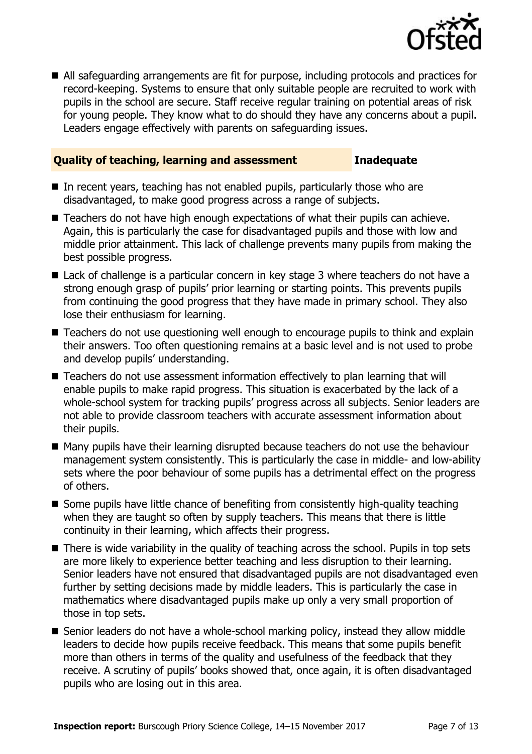

 All safeguarding arrangements are fit for purpose, including protocols and practices for record-keeping. Systems to ensure that only suitable people are recruited to work with pupils in the school are secure. Staff receive regular training on potential areas of risk for young people. They know what to do should they have any concerns about a pupil. Leaders engage effectively with parents on safeguarding issues.

### **Quality of teaching, learning and assessment Inadequate**

- In recent years, teaching has not enabled pupils, particularly those who are disadvantaged, to make good progress across a range of subjects.
- Teachers do not have high enough expectations of what their pupils can achieve. Again, this is particularly the case for disadvantaged pupils and those with low and middle prior attainment. This lack of challenge prevents many pupils from making the best possible progress.
- Lack of challenge is a particular concern in key stage 3 where teachers do not have a strong enough grasp of pupils' prior learning or starting points. This prevents pupils from continuing the good progress that they have made in primary school. They also lose their enthusiasm for learning.
- Teachers do not use questioning well enough to encourage pupils to think and explain their answers. Too often questioning remains at a basic level and is not used to probe and develop pupils' understanding.
- Teachers do not use assessment information effectively to plan learning that will enable pupils to make rapid progress. This situation is exacerbated by the lack of a whole-school system for tracking pupils' progress across all subjects. Senior leaders are not able to provide classroom teachers with accurate assessment information about their pupils.
- Many pupils have their learning disrupted because teachers do not use the behaviour management system consistently. This is particularly the case in middle- and low-ability sets where the poor behaviour of some pupils has a detrimental effect on the progress of others.
- Some pupils have little chance of benefiting from consistently high-quality teaching when they are taught so often by supply teachers. This means that there is little continuity in their learning, which affects their progress.
- There is wide variability in the quality of teaching across the school. Pupils in top sets are more likely to experience better teaching and less disruption to their learning. Senior leaders have not ensured that disadvantaged pupils are not disadvantaged even further by setting decisions made by middle leaders. This is particularly the case in mathematics where disadvantaged pupils make up only a very small proportion of those in top sets.
- Senior leaders do not have a whole-school marking policy, instead they allow middle leaders to decide how pupils receive feedback. This means that some pupils benefit more than others in terms of the quality and usefulness of the feedback that they receive. A scrutiny of pupils' books showed that, once again, it is often disadvantaged pupils who are losing out in this area.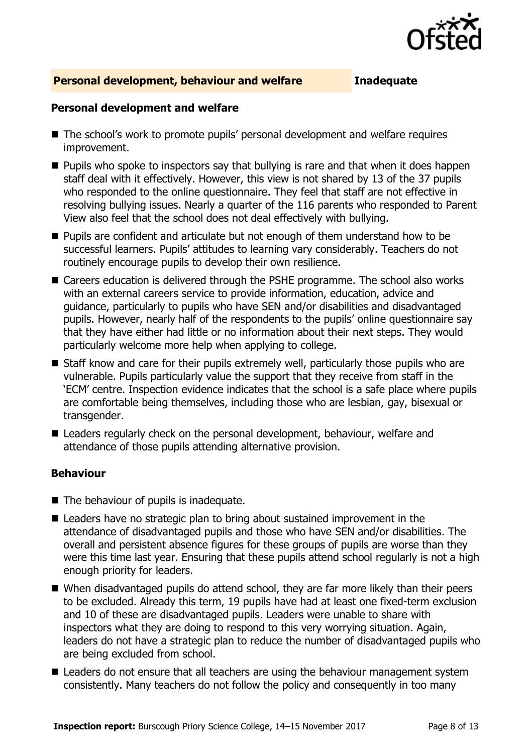

### **Personal development, behaviour and welfare Inadequate**

### **Personal development and welfare**

- The school's work to promote pupils' personal development and welfare requires improvement.
- **Pupils who spoke to inspectors say that bullying is rare and that when it does happen** staff deal with it effectively. However, this view is not shared by 13 of the 37 pupils who responded to the online questionnaire. They feel that staff are not effective in resolving bullying issues. Nearly a quarter of the 116 parents who responded to Parent View also feel that the school does not deal effectively with bullying.
- Pupils are confident and articulate but not enough of them understand how to be successful learners. Pupils' attitudes to learning vary considerably. Teachers do not routinely encourage pupils to develop their own resilience.
- Careers education is delivered through the PSHE programme. The school also works with an external careers service to provide information, education, advice and guidance, particularly to pupils who have SEN and/or disabilities and disadvantaged pupils. However, nearly half of the respondents to the pupils' online questionnaire say that they have either had little or no information about their next steps. They would particularly welcome more help when applying to college.
- Staff know and care for their pupils extremely well, particularly those pupils who are vulnerable. Pupils particularly value the support that they receive from staff in the 'ECM' centre. Inspection evidence indicates that the school is a safe place where pupils are comfortable being themselves, including those who are lesbian, gay, bisexual or transgender.
- Leaders regularly check on the personal development, behaviour, welfare and attendance of those pupils attending alternative provision.

### **Behaviour**

- $\blacksquare$  The behaviour of pupils is inadequate.
- Leaders have no strategic plan to bring about sustained improvement in the attendance of disadvantaged pupils and those who have SEN and/or disabilities. The overall and persistent absence figures for these groups of pupils are worse than they were this time last year. Ensuring that these pupils attend school regularly is not a high enough priority for leaders.
- When disadvantaged pupils do attend school, they are far more likely than their peers to be excluded. Already this term, 19 pupils have had at least one fixed-term exclusion and 10 of these are disadvantaged pupils. Leaders were unable to share with inspectors what they are doing to respond to this very worrying situation. Again, leaders do not have a strategic plan to reduce the number of disadvantaged pupils who are being excluded from school.
- Leaders do not ensure that all teachers are using the behaviour management system consistently. Many teachers do not follow the policy and consequently in too many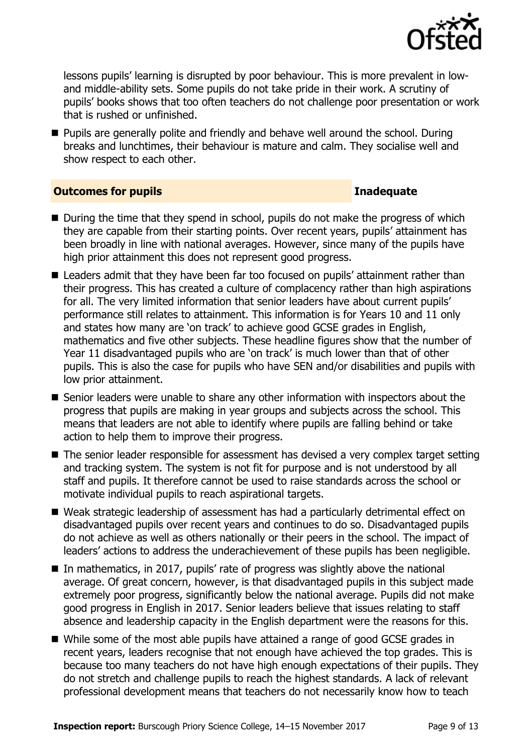

lessons pupils' learning is disrupted by poor behaviour. This is more prevalent in lowand middle-ability sets. Some pupils do not take pride in their work. A scrutiny of pupils' books shows that too often teachers do not challenge poor presentation or work that is rushed or unfinished.

**Pupils are generally polite and friendly and behave well around the school. During** breaks and lunchtimes, their behaviour is mature and calm. They socialise well and show respect to each other.

### **Outcomes for pupils Inadequate**

- $\blacksquare$  During the time that they spend in school, pupils do not make the progress of which they are capable from their starting points. Over recent years, pupils' attainment has been broadly in line with national averages. However, since many of the pupils have high prior attainment this does not represent good progress.
- Leaders admit that they have been far too focused on pupils' attainment rather than their progress. This has created a culture of complacency rather than high aspirations for all. The very limited information that senior leaders have about current pupils' performance still relates to attainment. This information is for Years 10 and 11 only and states how many are 'on track' to achieve good GCSE grades in English, mathematics and five other subjects. These headline figures show that the number of Year 11 disadvantaged pupils who are 'on track' is much lower than that of other pupils. This is also the case for pupils who have SEN and/or disabilities and pupils with low prior attainment.
- Senior leaders were unable to share any other information with inspectors about the progress that pupils are making in year groups and subjects across the school. This means that leaders are not able to identify where pupils are falling behind or take action to help them to improve their progress.
- The senior leader responsible for assessment has devised a very complex target setting and tracking system. The system is not fit for purpose and is not understood by all staff and pupils. It therefore cannot be used to raise standards across the school or motivate individual pupils to reach aspirational targets.
- Weak strategic leadership of assessment has had a particularly detrimental effect on disadvantaged pupils over recent years and continues to do so. Disadvantaged pupils do not achieve as well as others nationally or their peers in the school. The impact of leaders' actions to address the underachievement of these pupils has been negligible.
- In mathematics, in 2017, pupils' rate of progress was slightly above the national average. Of great concern, however, is that disadvantaged pupils in this subject made extremely poor progress, significantly below the national average. Pupils did not make good progress in English in 2017. Senior leaders believe that issues relating to staff absence and leadership capacity in the English department were the reasons for this.
- While some of the most able pupils have attained a range of good GCSE grades in recent years, leaders recognise that not enough have achieved the top grades. This is because too many teachers do not have high enough expectations of their pupils. They do not stretch and challenge pupils to reach the highest standards. A lack of relevant professional development means that teachers do not necessarily know how to teach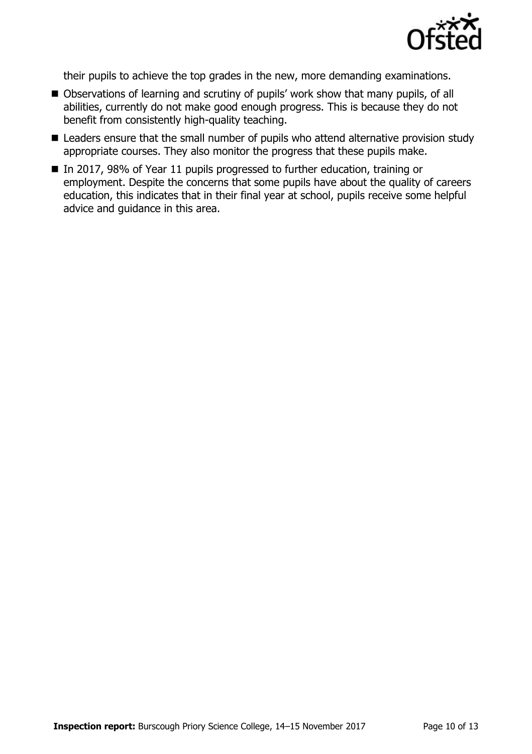

their pupils to achieve the top grades in the new, more demanding examinations.

- Observations of learning and scrutiny of pupils' work show that many pupils, of all abilities, currently do not make good enough progress. This is because they do not benefit from consistently high-quality teaching.
- Leaders ensure that the small number of pupils who attend alternative provision study appropriate courses. They also monitor the progress that these pupils make.
- In 2017, 98% of Year 11 pupils progressed to further education, training or employment. Despite the concerns that some pupils have about the quality of careers education, this indicates that in their final year at school, pupils receive some helpful advice and guidance in this area.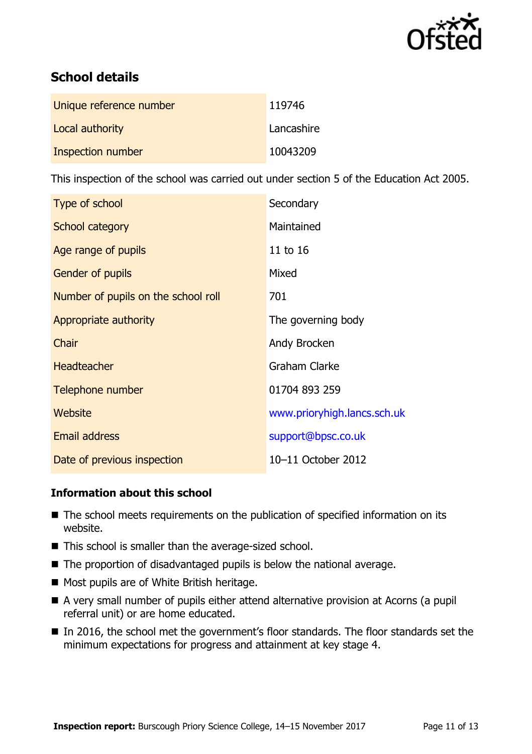

# **School details**

| Unique reference number | 119746     |
|-------------------------|------------|
| Local authority         | Lancashire |
| Inspection number       | 10043209   |

This inspection of the school was carried out under section 5 of the Education Act 2005.

| Type of school                      | Secondary                   |
|-------------------------------------|-----------------------------|
| School category                     | Maintained                  |
| Age range of pupils                 | 11 to 16                    |
| <b>Gender of pupils</b>             | Mixed                       |
| Number of pupils on the school roll | 701                         |
| Appropriate authority               | The governing body          |
| Chair                               | Andy Brocken                |
| <b>Headteacher</b>                  | <b>Graham Clarke</b>        |
| Telephone number                    | 01704 893 259               |
| <b>Website</b>                      | www.prioryhigh.lancs.sch.uk |
| <b>Email address</b>                | support@bpsc.co.uk          |
| Date of previous inspection         | 10-11 October 2012          |

### **Information about this school**

- The school meets requirements on the publication of specified information on its website.
- This school is smaller than the average-sized school.
- The proportion of disadvantaged pupils is below the national average.
- Most pupils are of White British heritage.
- A very small number of pupils either attend alternative provision at Acorns (a pupil referral unit) or are home educated.
- In 2016, the school met the government's floor standards. The floor standards set the minimum expectations for progress and attainment at key stage 4.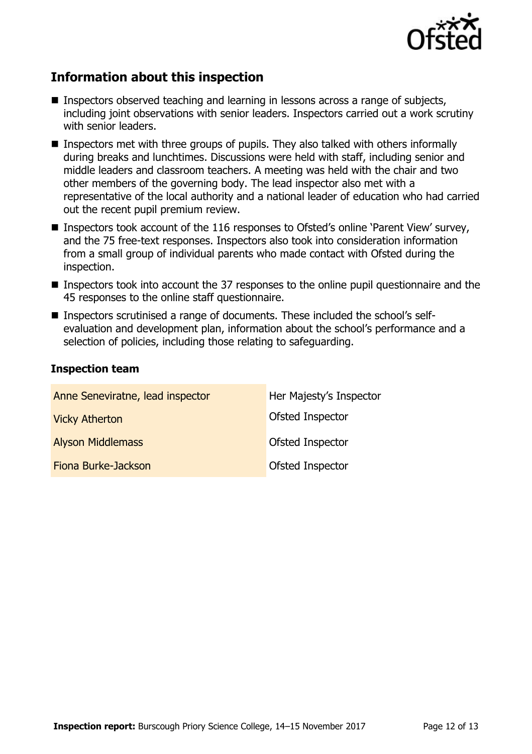

## **Information about this inspection**

- **Inspectors observed teaching and learning in lessons across a range of subjects,** including joint observations with senior leaders. Inspectors carried out a work scrutiny with senior leaders.
- **I** Inspectors met with three groups of pupils. They also talked with others informally during breaks and lunchtimes. Discussions were held with staff, including senior and middle leaders and classroom teachers. A meeting was held with the chair and two other members of the governing body. The lead inspector also met with a representative of the local authority and a national leader of education who had carried out the recent pupil premium review.
- Inspectors took account of the 116 responses to Ofsted's online 'Parent View' survey, and the 75 free-text responses. Inspectors also took into consideration information from a small group of individual parents who made contact with Ofsted during the inspection.
- **Inspectors took into account the 37 responses to the online pupil questionnaire and the** 45 responses to the online staff questionnaire.
- Inspectors scrutinised a range of documents. These included the school's selfevaluation and development plan, information about the school's performance and a selection of policies, including those relating to safeguarding.

### **Inspection team**

| Anne Seneviratne, lead inspector | Her Majesty's Inspector |
|----------------------------------|-------------------------|
| <b>Vicky Atherton</b>            | Ofsted Inspector        |
| <b>Alyson Middlemass</b>         | Ofsted Inspector        |
| Fiona Burke-Jackson              | Ofsted Inspector        |